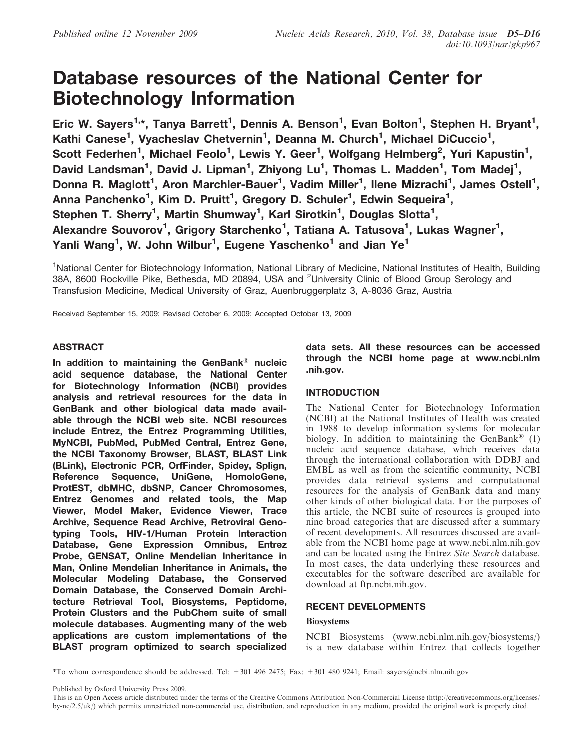# Database resources of the National Center for Biotechnology Information

Eric W. Sayers<sup>1,\*</sup>, Tanya Barrett<sup>1</sup>, Dennis A. Benson<sup>1</sup>, Evan Bolton<sup>1</sup>, Stephen H. Bryant<sup>1</sup>, Kathi Canese<sup>1</sup>, Vyacheslav Chetvernin<sup>1</sup>, Deanna M. Church<sup>1</sup>, Michael DiCuccio<sup>1</sup>, Scott Federhen<sup>1</sup>, Michael Feolo<sup>1</sup>, Lewis Y. Geer<sup>1</sup>, Wolfgang Helmberg<sup>2</sup>, Yuri Kapustin<sup>1</sup>, David Landsman<sup>1</sup>, David J. Lipman<sup>1</sup>, Zhiyong Lu<sup>1</sup>, Thomas L. Madden<sup>1</sup>, Tom Madej<sup>1</sup>, Donna R. Maglott<sup>1</sup>, Aron Marchler-Bauer<sup>1</sup>, Vadim Miller<sup>1</sup>, Ilene Mizrachi<sup>1</sup>, James Ostell<sup>1</sup>, Anna Panchenko<sup>1</sup>, Kim D. Pruitt<sup>1</sup>, Gregory D. Schuler<sup>1</sup>, Edwin Sequeira<sup>1</sup>, Stephen T. Sherry<sup>1</sup>, Martin Shumway<sup>1</sup>, Karl Sirotkin<sup>1</sup>, Douglas Slotta<sup>1</sup>, Alexandre Souvorov<sup>1</sup>, Grigory Starchenko<sup>1</sup>, Tatiana A. Tatusova<sup>1</sup>, Lukas Wagner<sup>1</sup>, Yanli Wang<sup>1</sup>, W. John Wilbur<sup>1</sup>, Eugene Yaschenko<sup>1</sup> and Jian Ye<sup>1</sup>

<sup>1</sup>National Center for Biotechnology Information, National Library of Medicine, National Institutes of Health, Building 38A, 8600 Rockville Pike, Bethesda, MD 20894, USA and <sup>2</sup>University Clinic of Blood Group Serology and Transfusion Medicine, Medical University of Graz, Auenbruggerplatz 3, A-8036 Graz, Austria

Received September 15, 2009; Revised October 6, 2009; Accepted October 13, 2009

# ABSTRACT

In addition to maintaining the GenBank® nucleic acid sequence database, the National Center for Biotechnology Information (NCBI) provides analysis and retrieval resources for the data in GenBank and other biological data made available through the NCBI web site. NCBI resources include Entrez, the Entrez Programming Utilities, MyNCBI, PubMed, PubMed Central, Entrez Gene, the NCBI Taxonomy Browser, BLAST, BLAST Link (BLink), Electronic PCR, OrfFinder, Spidey, Splign, Reference Sequence, UniGene, HomoloGene, ProtEST, dbMHC, dbSNP, Cancer Chromosomes, Entrez Genomes and related tools, the Map Viewer, Model Maker, Evidence Viewer, Trace Archive, Sequence Read Archive, Retroviral Genotyping Tools, HIV-1/Human Protein Interaction Database, Gene Expression Omnibus, Entrez Probe, GENSAT, Online Mendelian Inheritance in Man, Online Mendelian Inheritance in Animals, the Molecular Modeling Database, the Conserved Domain Database, the Conserved Domain Architecture Retrieval Tool, Biosystems, Peptidome, Protein Clusters and the PubChem suite of small molecule databases. Augmenting many of the web applications are custom implementations of the BLAST program optimized to search specialized data sets. All these resources can be accessed through the NCBI home page at www.ncbi.nlm .nih.gov.

# INTRODUCTION

The National Center for Biotechnology Information (NCBI) at the National Institutes of Health was created in 1988 to develop information systems for molecular biology. In addition to maintaining the GenBank® (1) nucleic acid sequence database, which receives data through the international collaboration with DDBJ and EMBL as well as from the scientific community, NCBI provides data retrieval systems and computational resources for the analysis of GenBank data and many other kinds of other biological data. For the purposes of this article, the NCBI suite of resources is grouped into nine broad categories that are discussed after a summary of recent developments. All resources discussed are available from the NCBI home page at www.ncbi.nlm.nih.gov and can be located using the Entrez Site Search database. In most cases, the data underlying these resources and executables for the software described are available for download at ftp.ncbi.nih.gov.

# RECENT DEVELOPMENTS

# Biosystems

NCBI Biosystems (www.ncbi.nlm.nih.gov/biosystems/) is a new database within Entrez that collects together

\*To whom correspondence should be addressed. Tel: +301 496 2475; Fax: +301 480 9241; Email: sayers@ncbi.nlm.nih.gov

Published by Oxford University Press 2009.

This is an Open Access article distributed under the terms of the Creative Commons Attribution Non-Commercial License (http://creativecommons.org/licenses/  $by-nc/2.5/uk/$ ) which permits unrestricted non-commercial use, distribution, and reproduction in any medium, provided the original work is properly cited.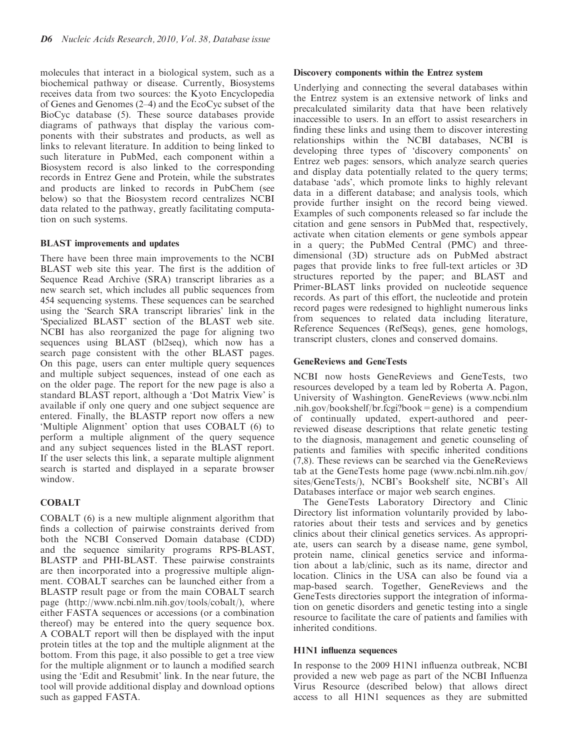molecules that interact in a biological system, such as a biochemical pathway or disease. Currently, Biosystems receives data from two sources: the Kyoto Encyclopedia of Genes and Genomes (2–4) and the EcoCyc subset of the BioCyc database (5). These source databases provide diagrams of pathways that display the various components with their substrates and products, as well as links to relevant literature. In addition to being linked to such literature in PubMed, each component within a Biosystem record is also linked to the corresponding records in Entrez Gene and Protein, while the substrates and products are linked to records in PubChem (see below) so that the Biosystem record centralizes NCBI data related to the pathway, greatly facilitating computation on such systems.

# BLAST improvements and updates

There have been three main improvements to the NCBI BLAST web site this year. The first is the addition of Sequence Read Archive (SRA) transcript libraries as a new search set, which includes all public sequences from 454 sequencing systems. These sequences can be searched using the 'Search SRA transcript libraries' link in the 'Specialized BLAST' section of the BLAST web site. NCBI has also reorganized the page for aligning two sequences using BLAST (bl2seq), which now has a search page consistent with the other BLAST pages. On this page, users can enter multiple query sequences and multiple subject sequences, instead of one each as on the older page. The report for the new page is also a standard BLAST report, although a 'Dot Matrix View' is available if only one query and one subject sequence are entered. Finally, the BLASTP report now offers a new 'Multiple Alignment' option that uses COBALT (6) to perform a multiple alignment of the query sequence and any subject sequences listed in the BLAST report. If the user selects this link, a separate multiple alignment search is started and displayed in a separate browser window.

# COBALT

COBALT (6) is a new multiple alignment algorithm that finds a collection of pairwise constraints derived from both the NCBI Conserved Domain database (CDD) and the sequence similarity programs RPS-BLAST, BLASTP and PHI-BLAST. These pairwise constraints are then incorporated into a progressive multiple alignment. COBALT searches can be launched either from a BLASTP result page or from the main COBALT search page (http://www.ncbi.nlm.nih.gov/tools/cobalt/), where either FASTA sequences or accessions (or a combination thereof) may be entered into the query sequence box. A COBALT report will then be displayed with the input protein titles at the top and the multiple alignment at the bottom. From this page, it also possible to get a tree view for the multiple alignment or to launch a modified search using the 'Edit and Resubmit' link. In the near future, the tool will provide additional display and download options such as gapped FASTA.

#### Discovery components within the Entrez system

Underlying and connecting the several databases within the Entrez system is an extensive network of links and precalculated similarity data that have been relatively inaccessible to users. In an effort to assist researchers in finding these links and using them to discover interesting relationships within the NCBI databases, NCBI is developing three types of 'discovery components' on Entrez web pages: sensors, which analyze search queries and display data potentially related to the query terms; database 'ads', which promote links to highly relevant data in a different database; and analysis tools, which provide further insight on the record being viewed. Examples of such components released so far include the citation and gene sensors in PubMed that, respectively, activate when citation elements or gene symbols appear in a query; the PubMed Central (PMC) and threedimensional (3D) structure ads on PubMed abstract pages that provide links to free full-text articles or 3D structures reported by the paper; and BLAST and Primer-BLAST links provided on nucleotide sequence records. As part of this effort, the nucleotide and protein record pages were redesigned to highlight numerous links from sequences to related data including literature, Reference Sequences (RefSeqs), genes, gene homologs, transcript clusters, clones and conserved domains.

# GeneReviews and GeneTests

NCBI now hosts GeneReviews and GeneTests, two resources developed by a team led by Roberta A. Pagon, University of Washington. GeneReviews (www.ncbi.nlm .nih.gov/bookshelf/br.fcgi?book=gene) is a compendium of continually updated, expert-authored and peerreviewed disease descriptions that relate genetic testing to the diagnosis, management and genetic counseling of patients and families with specific inherited conditions (7,8). These reviews can be searched via the GeneReviews tab at the GeneTests home page (www.ncbi.nlm.nih.gov/ sites/GeneTests/), NCBI's Bookshelf site, NCBI's All Databases interface or major web search engines.

The GeneTests Laboratory Directory and Clinic Directory list information voluntarily provided by laboratories about their tests and services and by genetics clinics about their clinical genetics services. As appropriate, users can search by a disease name, gene symbol, protein name, clinical genetics service and information about a lab/clinic, such as its name, director and location. Clinics in the USA can also be found via a map-based search. Together, GeneReviews and the GeneTests directories support the integration of information on genetic disorders and genetic testing into a single resource to facilitate the care of patients and families with inherited conditions.

#### H1N1 influenza sequences

In response to the 2009 H1N1 influenza outbreak, NCBI provided a new web page as part of the NCBI Influenza Virus Resource (described below) that allows direct access to all H1N1 sequences as they are submitted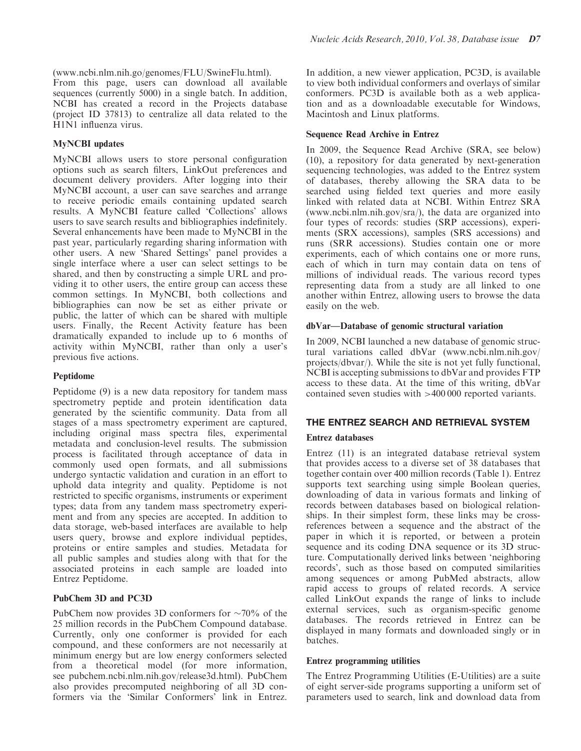(www.ncbi.nlm.nih.go/genomes/FLU/SwineFlu.html).

From this page, users can download all available sequences (currently 5000) in a single batch. In addition, NCBI has created a record in the Projects database (project ID 37813) to centralize all data related to the H1N1 influenza virus.

# MyNCBI updates

MyNCBI allows users to store personal configuration options such as search filters, LinkOut preferences and document delivery providers. After logging into their MyNCBI account, a user can save searches and arrange to receive periodic emails containing updated search results. A MyNCBI feature called 'Collections' allows users to save search results and bibliographies indefinitely. Several enhancements have been made to MyNCBI in the past year, particularly regarding sharing information with other users. A new 'Shared Settings' panel provides a single interface where a user can select settings to be shared, and then by constructing a simple URL and providing it to other users, the entire group can access these common settings. In MyNCBI, both collections and bibliographies can now be set as either private or public, the latter of which can be shared with multiple users. Finally, the Recent Activity feature has been dramatically expanded to include up to 6 months of activity within MyNCBI, rather than only a user's previous five actions.

## Peptidome

Peptidome (9) is a new data repository for tandem mass spectrometry peptide and protein identification data generated by the scientific community. Data from all stages of a mass spectrometry experiment are captured, including original mass spectra files, experimental metadata and conclusion-level results. The submission process is facilitated through acceptance of data in commonly used open formats, and all submissions undergo syntactic validation and curation in an effort to uphold data integrity and quality. Peptidome is not restricted to specific organisms, instruments or experiment types; data from any tandem mass spectrometry experiment and from any species are accepted. In addition to data storage, web-based interfaces are available to help users query, browse and explore individual peptides, proteins or entire samples and studies. Metadata for all public samples and studies along with that for the associated proteins in each sample are loaded into Entrez Peptidome.

#### PubChem 3D and PC3D

PubChem now provides 3D conformers for  $\sim$ 70% of the 25 million records in the PubChem Compound database. Currently, only one conformer is provided for each compound, and these conformers are not necessarily at minimum energy but are low energy conformers selected from a theoretical model (for more information, see pubchem.ncbi.nlm.nih.gov/release3d.html). PubChem also provides precomputed neighboring of all 3D conformers via the 'Similar Conformers' link in Entrez.

In addition, a new viewer application, PC3D, is available to view both individual conformers and overlays of similar conformers. PC3D is available both as a web application and as a downloadable executable for Windows, Macintosh and Linux platforms.

## Sequence Read Archive in Entrez

In 2009, the Sequence Read Archive (SRA, see below) (10), a repository for data generated by next-generation sequencing technologies, was added to the Entrez system of databases, thereby allowing the SRA data to be searched using fielded text queries and more easily linked with related data at NCBI. Within Entrez SRA (www.ncbi.nlm.nih.gov/sra/), the data are organized into four types of records: studies (SRP accessions), experiments (SRX accessions), samples (SRS accessions) and runs (SRR accessions). Studies contain one or more experiments, each of which contains one or more runs, each of which in turn may contain data on tens of millions of individual reads. The various record types representing data from a study are all linked to one another within Entrez, allowing users to browse the data easily on the web.

#### dbVar—Database of genomic structural variation

In 2009, NCBI launched a new database of genomic structural variations called dbVar (www.ncbi.nlm.nih.gov/ projects/dbvar/). While the site is not yet fully functional, NCBI is accepting submissions to dbVar and provides FTP access to these data. At the time of this writing, dbVar contained seven studies with >400 000 reported variants.

# THE ENTREZ SEARCH AND RETRIEVAL SYSTEM

#### Entrez databases

Entrez (11) is an integrated database retrieval system that provides access to a diverse set of 38 databases that together contain over 400 million records (Table 1). Entrez supports text searching using simple Boolean queries, downloading of data in various formats and linking of records between databases based on biological relationships. In their simplest form, these links may be crossreferences between a sequence and the abstract of the paper in which it is reported, or between a protein sequence and its coding DNA sequence or its 3D structure. Computationally derived links between 'neighboring records', such as those based on computed similarities among sequences or among PubMed abstracts, allow rapid access to groups of related records. A service called LinkOut expands the range of links to include external services, such as organism-specific genome databases. The records retrieved in Entrez can be displayed in many formats and downloaded singly or in batches.

#### Entrez programming utilities

The Entrez Programming Utilities (E-Utilities) are a suite of eight server-side programs supporting a uniform set of parameters used to search, link and download data from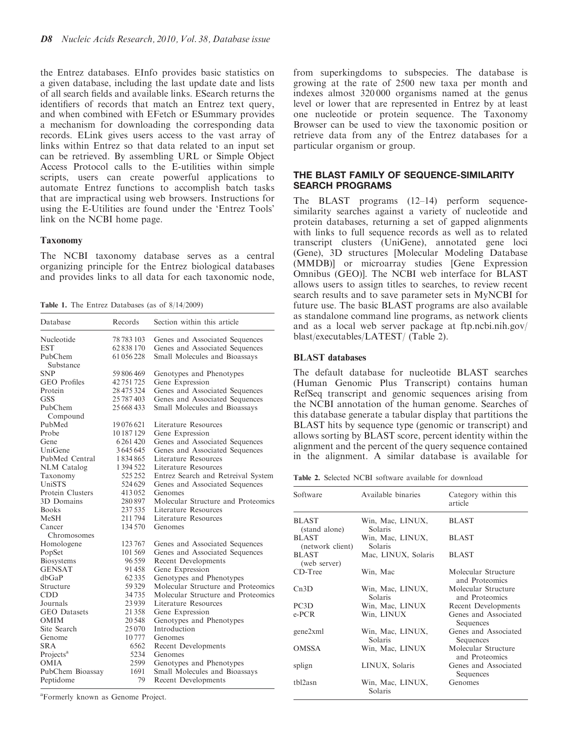the Entrez databases. EInfo provides basic statistics on a given database, including the last update date and lists of all search fields and available links. ESearch returns the identifiers of records that match an Entrez text query, and when combined with EFetch or ESummary provides a mechanism for downloading the corresponding data records. ELink gives users access to the vast array of links within Entrez so that data related to an input set can be retrieved. By assembling URL or Simple Object Access Protocol calls to the E-utilities within simple scripts, users can create powerful applications to automate Entrez functions to accomplish batch tasks that are impractical using web browsers. Instructions for using the E-Utilities are found under the 'Entrez Tools' link on the NCBI home page.

#### Taxonomy

The NCBI taxonomy database serves as a central organizing principle for the Entrez biological databases and provides links to all data for each taxonomic node,

Table 1. The Entrez Databases (as of 8/14/2009)

| Database              | Records       | Section within this article        |  |
|-----------------------|---------------|------------------------------------|--|
| Nucleotide            | 78 783 103    | Genes and Associated Sequences     |  |
| <b>EST</b>            | 62 838 170    | Genes and Associated Sequences     |  |
| PubChem               | 61 056 228    | Small Molecules and Bioassays      |  |
| Substance             |               |                                    |  |
| <b>SNP</b>            | 59 806 469    | Genotypes and Phenotypes           |  |
| <b>GEO</b> Profiles   | 42751725      | Gene Expression                    |  |
| Protein               | 28 475 324    | Genes and Associated Sequences     |  |
| <b>GSS</b>            | 25 787 403    | Genes and Associated Sequences     |  |
| PubChem               | 25 668 433    | Small Molecules and Bioassays      |  |
| Compound              |               |                                    |  |
| PubMed                | 19076621      | Literature Resources               |  |
| Probe                 | 10 187 129    | Gene Expression                    |  |
| Gene                  | 6 2 6 1 4 2 0 | Genes and Associated Sequences     |  |
| <b>UniGene</b>        | 3645645       | Genes and Associated Sequences     |  |
| PubMed Central        | 1834865       | Literature Resources               |  |
| <b>NLM</b> Catalog    | 1394522       | Literature Resources               |  |
| Taxonomy              | 525252        | Entrez Search and Retreival System |  |
| UniSTS                | 524629        | Genes and Associated Sequences     |  |
| Protein Clusters      | 413052        | Genomes                            |  |
| 3D Domains            | 280897        | Molecular Structure and Proteomics |  |
| <b>Books</b>          | 237535        | Literature Resources               |  |
| MeSH                  | 211794        | Literature Resources               |  |
| Cancer                | 134 570       | Genomes                            |  |
| Chromosomes           |               |                                    |  |
| Homologene            | 123767        | Genes and Associated Sequences     |  |
| PopSet                | 101569        | Genes and Associated Sequences     |  |
| Biosystems            | 96559         | Recent Developments                |  |
| <b>GENSAT</b>         | 91458         | Gene Expression                    |  |
| dbGaP                 | 62335         | Genotypes and Phenotypes           |  |
| Structure             | 59329         | Molecular Structure and Proteomics |  |
| <b>CDD</b>            | 34735         | Molecular Structure and Proteomics |  |
| Journals              | 23939         | Literature Resources               |  |
| <b>GEO</b> Datasets   | 21358         | Gene Expression                    |  |
| <b>OMIM</b>           | 20 5 48       | Genotypes and Phenotypes           |  |
| Site Search           | 25070         | Introduction                       |  |
| Genome                | 10777         | Genomes                            |  |
| <b>SRA</b>            | 6562          | Recent Developments                |  |
| Projects <sup>a</sup> | 5234          | Genomes                            |  |
| <b>OMIA</b>           | 2599          | Genotypes and Phenotypes           |  |
| PubChem Bioassay      | 1691          | Small Molecules and Bioassays      |  |
| Peptidome             | 79            | Recent Developments                |  |

<sup>a</sup>Formerly known as Genome Project.

from superkingdoms to subspecies. The database is growing at the rate of 2500 new taxa per month and indexes almost 320 000 organisms named at the genus level or lower that are represented in Entrez by at least one nucleotide or protein sequence. The Taxonomy Browser can be used to view the taxonomic position or retrieve data from any of the Entrez databases for a particular organism or group.

## THE BLAST FAMILY OF SEQUENCE-SIMILARITY SEARCH PROGRAMS

The BLAST programs (12–14) perform sequencesimilarity searches against a variety of nucleotide and protein databases, returning a set of gapped alignments with links to full sequence records as well as to related transcript clusters (UniGene), annotated gene loci (Gene), 3D structures [Molecular Modeling Database (MMDB)] or microarray studies [Gene Expression Omnibus (GEO)]. The NCBI web interface for BLAST allows users to assign titles to searches, to review recent search results and to save parameter sets in MyNCBI for future use. The basic BLAST programs are also available as standalone command line programs, as network clients and as a local web server package at ftp.ncbi.nih.gov/ blast/executables/LATEST/ (Table 2).

#### BLAST databases

The default database for nucleotide BLAST searches (Human Genomic Plus Transcript) contains human RefSeq transcript and genomic sequences arising from the NCBI annotation of the human genome. Searches of this database generate a tabular display that partitions the BLAST hits by sequence type (genomic or transcript) and allows sorting by BLAST score, percent identity within the alignment and the percent of the query sequence contained in the alignment. A similar database is available for

Table 2. Selected NCBI software available for download

| Software                         | Available binaries          | Category within this<br>article       |
|----------------------------------|-----------------------------|---------------------------------------|
| <b>BLAST</b><br>(stand alone)    | Win, Mac, LINUX,<br>Solaris | <b>BLAST</b>                          |
| <b>BLAST</b><br>(network client) | Win, Mac, LINUX,<br>Solaris | <b>BLAST</b>                          |
| <b>BLAST</b><br>(web server)     | Mac, LINUX, Solaris         | <b>BLAST</b>                          |
| $CD$ -Tree                       | Win, Mac                    | Molecular Structure<br>and Proteomics |
| Cn3D                             | Win, Mac, LINUX,<br>Solaris | Molecular Structure<br>and Proteomics |
| PC <sub>3</sub> D                | Win, Mac, LINUX             | Recent Developments                   |
| $e$ -PCR                         | Win, LINUX                  | Genes and Associated<br>Sequences     |
| gene2xml                         | Win, Mac, LINUX,<br>Solaris | Genes and Associated<br>Sequences     |
| <b>OMSSA</b>                     | Win, Mac, LINUX             | Molecular Structure<br>and Proteomics |
| splign                           | LINUX, Solaris              | Genes and Associated<br>Sequences     |
| tbl2asn                          | Win, Mac, LINUX,<br>Solaris | Genomes                               |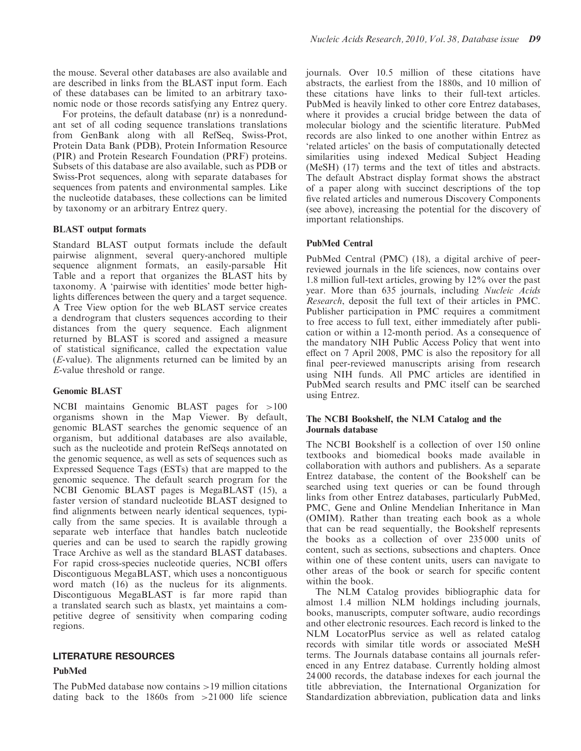the mouse. Several other databases are also available and are described in links from the BLAST input form. Each of these databases can be limited to an arbitrary taxonomic node or those records satisfying any Entrez query.

For proteins, the default database (nr) is a nonredundant set of all coding sequence translations translations from GenBank along with all RefSeq, Swiss-Prot, Protein Data Bank (PDB), Protein Information Resource (PIR) and Protein Research Foundation (PRF) proteins. Subsets of this database are also available, such as PDB or Swiss-Prot sequences, along with separate databases for sequences from patents and environmental samples. Like the nucleotide databases, these collections can be limited by taxonomy or an arbitrary Entrez query.

#### BLAST output formats

Standard BLAST output formats include the default pairwise alignment, several query-anchored multiple sequence alignment formats, an easily-parsable Hit Table and a report that organizes the BLAST hits by taxonomy. A 'pairwise with identities' mode better highlights differences between the query and a target sequence. A Tree View option for the web BLAST service creates a dendrogram that clusters sequences according to their distances from the query sequence. Each alignment returned by BLAST is scored and assigned a measure of statistical significance, called the expectation value (E-value). The alignments returned can be limited by an E-value threshold or range.

#### Genomic BLAST

NCBI maintains Genomic BLAST pages for >100 organisms shown in the Map Viewer. By default, genomic BLAST searches the genomic sequence of an organism, but additional databases are also available, such as the nucleotide and protein RefSeqs annotated on the genomic sequence, as well as sets of sequences such as Expressed Sequence Tags (ESTs) that are mapped to the genomic sequence. The default search program for the NCBI Genomic BLAST pages is MegaBLAST (15), a faster version of standard nucleotide BLAST designed to find alignments between nearly identical sequences, typically from the same species. It is available through a separate web interface that handles batch nucleotide queries and can be used to search the rapidly growing Trace Archive as well as the standard BLAST databases. For rapid cross-species nucleotide queries, NCBI offers Discontiguous MegaBLAST, which uses a noncontiguous word match (16) as the nucleus for its alignments. Discontiguous MegaBLAST is far more rapid than a translated search such as blastx, yet maintains a competitive degree of sensitivity when comparing coding regions.

The PubMed database now contains >19 million citations dating back to the 1860s from >21 000 life science

#### LITERATURE RESOURCES

#### PubMed

journals. Over 10.5 million of these citations have abstracts, the earliest from the 1880s, and 10 million of these citations have links to their full-text articles. PubMed is heavily linked to other core Entrez databases, where it provides a crucial bridge between the data of molecular biology and the scientific literature. PubMed records are also linked to one another within Entrez as 'related articles' on the basis of computationally detected similarities using indexed Medical Subject Heading (MeSH) (17) terms and the text of titles and abstracts. The default Abstract display format shows the abstract of a paper along with succinct descriptions of the top five related articles and numerous Discovery Components (see above), increasing the potential for the discovery of important relationships.

Nucleic Acids Research, 2010, Vol. 38, Database issue D9

# PubMed Central

PubMed Central (PMC) (18), a digital archive of peerreviewed journals in the life sciences, now contains over 1.8 million full-text articles, growing by 12% over the past year. More than 635 journals, including Nucleic Acids Research, deposit the full text of their articles in PMC. Publisher participation in PMC requires a commitment to free access to full text, either immediately after publication or within a 12-month period. As a consequence of the mandatory NIH Public Access Policy that went into effect on 7 April 2008, PMC is also the repository for all final peer-reviewed manuscripts arising from research using NIH funds. All PMC articles are identified in PubMed search results and PMC itself can be searched using Entrez.

#### The NCBI Bookshelf, the NLM Catalog and the Journals database

The NCBI Bookshelf is a collection of over 150 online textbooks and biomedical books made available in collaboration with authors and publishers. As a separate Entrez database, the content of the Bookshelf can be searched using text queries or can be found through links from other Entrez databases, particularly PubMed, PMC, Gene and Online Mendelian Inheritance in Man (OMIM). Rather than treating each book as a whole that can be read sequentially, the Bookshelf represents the books as a collection of over 235 000 units of content, such as sections, subsections and chapters. Once within one of these content units, users can navigate to other areas of the book or search for specific content within the book.

The NLM Catalog provides bibliographic data for almost 1.4 million NLM holdings including journals, books, manuscripts, computer software, audio recordings and other electronic resources. Each record is linked to the NLM LocatorPlus service as well as related catalog records with similar title words or associated MeSH terms. The Journals database contains all journals referenced in any Entrez database. Currently holding almost 24 000 records, the database indexes for each journal the title abbreviation, the International Organization for Standardization abbreviation, publication data and links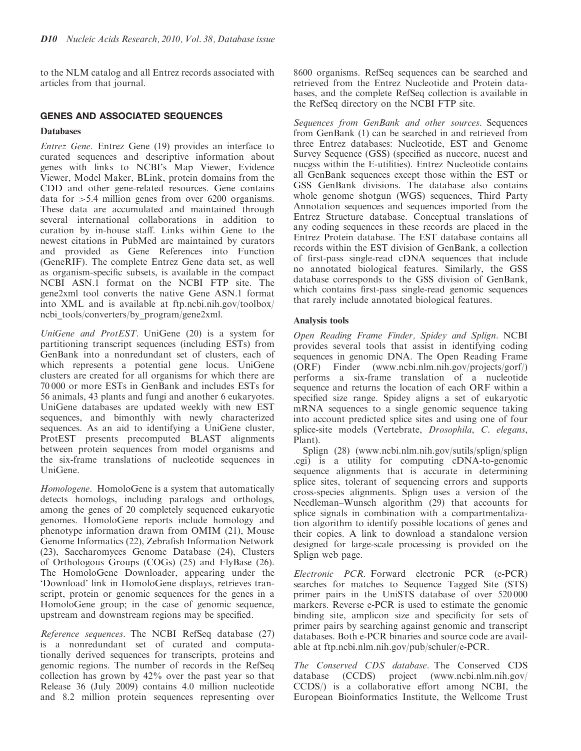to the NLM catalog and all Entrez records associated with articles from that journal.

# GENES AND ASSOCIATED SEQUENCES

# Databases

Entrez Gene. Entrez Gene (19) provides an interface to curated sequences and descriptive information about genes with links to NCBI's Map Viewer, Evidence Viewer, Model Maker, BLink, protein domains from the CDD and other gene-related resources. Gene contains data for >5.4 million genes from over 6200 organisms. These data are accumulated and maintained through several international collaborations in addition to curation by in-house staff. Links within Gene to the newest citations in PubMed are maintained by curators and provided as Gene References into Function (GeneRIF). The complete Entrez Gene data set, as well as organism-specific subsets, is available in the compact NCBI ASN.1 format on the NCBI FTP site. The gene2xml tool converts the native Gene ASN.1 format into XML and is available at ftp.ncbi.nih.gov/toolbox/ ncbi tools/converters/by program/gene2xml.

UniGene and ProtEST. UniGene (20) is a system for partitioning transcript sequences (including ESTs) from GenBank into a nonredundant set of clusters, each of which represents a potential gene locus. UniGene clusters are created for all organisms for which there are 70 000 or more ESTs in GenBank and includes ESTs for 56 animals, 43 plants and fungi and another 6 eukaryotes. UniGene databases are updated weekly with new EST sequences, and bimonthly with newly characterized sequences. As an aid to identifying a UniGene cluster, ProtEST presents precomputed BLAST alignments between protein sequences from model organisms and the six-frame translations of nucleotide sequences in UniGene.

Homologene. HomoloGene is a system that automatically detects homologs, including paralogs and orthologs, among the genes of 20 completely sequenced eukaryotic genomes. HomoloGene reports include homology and phenotype information drawn from OMIM (21), Mouse Genome Informatics (22), Zebrafish Information Network (23), Saccharomyces Genome Database (24), Clusters of Orthologous Groups (COGs) (25) and FlyBase (26). The HomoloGene Downloader, appearing under the 'Download' link in HomoloGene displays, retrieves transcript, protein or genomic sequences for the genes in a HomoloGene group; in the case of genomic sequence, upstream and downstream regions may be specified.

Reference sequences. The NCBI RefSeq database (27) is a nonredundant set of curated and computationally derived sequences for transcripts, proteins and genomic regions. The number of records in the RefSeq collection has grown by 42% over the past year so that Release 36 (July 2009) contains 4.0 million nucleotide and 8.2 million protein sequences representing over 8600 organisms. RefSeq sequences can be searched and retrieved from the Entrez Nucleotide and Protein databases, and the complete RefSeq collection is available in the RefSeq directory on the NCBI FTP site.

Sequences from GenBank and other sources. Sequences from GenBank (1) can be searched in and retrieved from three Entrez databases: Nucleotide, EST and Genome Survey Sequence (GSS) (specified as nuccore, nucest and nucgss within the E-utilities). Entrez Nucleotide contains all GenBank sequences except those within the EST or GSS GenBank divisions. The database also contains whole genome shotgun (WGS) sequences, Third Party Annotation sequences and sequences imported from the Entrez Structure database. Conceptual translations of any coding sequences in these records are placed in the Entrez Protein database. The EST database contains all records within the EST division of GenBank, a collection of first-pass single-read cDNA sequences that include no annotated biological features. Similarly, the GSS database corresponds to the GSS division of GenBank, which contains first-pass single-read genomic sequences that rarely include annotated biological features.

# Analysis tools

Open Reading Frame Finder, Spidey and Splign. NCBI provides several tools that assist in identifying coding sequences in genomic DNA. The Open Reading Frame (ORF) Finder (www.ncbi.nlm.nih.gov/projects/gorf/) performs a six-frame translation of a nucleotide sequence and returns the location of each ORF within a specified size range. Spidey aligns a set of eukaryotic mRNA sequences to a single genomic sequence taking into account predicted splice sites and using one of four splice-site models (Vertebrate, Drosophila, C. elegans, Plant).

Splign (28) (www.ncbi.nlm.nih.gov/sutils/splign/splign .cgi) is a utility for computing cDNA-to-genomic sequence alignments that is accurate in determining splice sites, tolerant of sequencing errors and supports cross-species alignments. Splign uses a version of the Needleman–Wunsch algorithm (29) that accounts for splice signals in combination with a compartmentalization algorithm to identify possible locations of genes and their copies. A link to download a standalone version designed for large-scale processing is provided on the Splign web page.

Electronic PCR. Forward electronic PCR (e-PCR) searches for matches to Sequence Tagged Site (STS) primer pairs in the UniSTS database of over 520 000 markers. Reverse e-PCR is used to estimate the genomic binding site, amplicon size and specificity for sets of primer pairs by searching against genomic and transcript databases. Both e-PCR binaries and source code are available at ftp.ncbi.nlm.nih.gov/pub/schuler/e-PCR.

The Conserved CDS database. The Conserved CDS database (CCDS) project (www.ncbi.nlm.nih.gov/ CCDS/) is a collaborative effort among NCBI, the European Bioinformatics Institute, the Wellcome Trust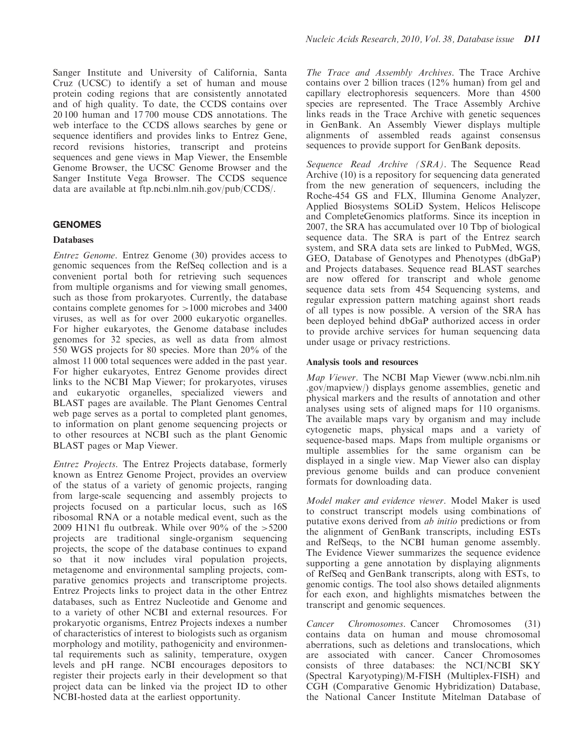Sanger Institute and University of California, Santa Cruz (UCSC) to identify a set of human and mouse protein coding regions that are consistently annotated and of high quality. To date, the CCDS contains over 20 100 human and 17 700 mouse CDS annotations. The web interface to the CCDS allows searches by gene or sequence identifiers and provides links to Entrez Gene, record revisions histories, transcript and proteins sequences and gene views in Map Viewer, the Ensemble Genome Browser, the UCSC Genome Browser and the Sanger Institute Vega Browser. The CCDS sequence data are available at ftp.ncbi.nlm.nih.gov/pub/CCDS/.

# GENOMES

#### Databases

Entrez Genome. Entrez Genome (30) provides access to genomic sequences from the RefSeq collection and is a convenient portal both for retrieving such sequences from multiple organisms and for viewing small genomes, such as those from prokaryotes. Currently, the database contains complete genomes for >1000 microbes and 3400 viruses, as well as for over 2000 eukaryotic organelles. For higher eukaryotes, the Genome database includes genomes for 32 species, as well as data from almost 550 WGS projects for 80 species. More than 20% of the almost 11 000 total sequences were added in the past year. For higher eukaryotes, Entrez Genome provides direct links to the NCBI Map Viewer; for prokaryotes, viruses and eukaryotic organelles, specialized viewers and BLAST pages are available. The Plant Genomes Central web page serves as a portal to completed plant genomes, to information on plant genome sequencing projects or to other resources at NCBI such as the plant Genomic BLAST pages or Map Viewer.

Entrez Projects. The Entrez Projects database, formerly known as Entrez Genome Project, provides an overview of the status of a variety of genomic projects, ranging from large-scale sequencing and assembly projects to projects focused on a particular locus, such as 16S ribosomal RNA or a notable medical event, such as the 2009 H1N1 flu outbreak. While over  $90\%$  of the  $>5200$ projects are traditional single-organism sequencing projects, the scope of the database continues to expand so that it now includes viral population projects, metagenome and environmental sampling projects, comparative genomics projects and transcriptome projects. Entrez Projects links to project data in the other Entrez databases, such as Entrez Nucleotide and Genome and to a variety of other NCBI and external resources. For prokaryotic organisms, Entrez Projects indexes a number of characteristics of interest to biologists such as organism morphology and motility, pathogenicity and environmental requirements such as salinity, temperature, oxygen levels and pH range. NCBI encourages depositors to register their projects early in their development so that project data can be linked via the project ID to other NCBI-hosted data at the earliest opportunity.

The Trace and Assembly Archives. The Trace Archive contains over 2 billion traces (12% human) from gel and capillary electrophoresis sequencers. More than 4500 species are represented. The Trace Assembly Archive links reads in the Trace Archive with genetic sequences in GenBank. An Assembly Viewer displays multiple alignments of assembled reads against consensus sequences to provide support for GenBank deposits.

Sequence Read Archive (SRA). The Sequence Read Archive (10) is a repository for sequencing data generated from the new generation of sequencers, including the Roche-454 GS and FLX, Illumina Genome Analyzer, Applied Biosystems SOLiD System, Helicos Heliscope and CompleteGenomics platforms. Since its inception in 2007, the SRA has accumulated over 10 Tbp of biological sequence data. The SRA is part of the Entrez search system, and SRA data sets are linked to PubMed, WGS, GEO, Database of Genotypes and Phenotypes (dbGaP) and Projects databases. Sequence read BLAST searches are now offered for transcript and whole genome sequence data sets from 454 Sequencing systems, and regular expression pattern matching against short reads of all types is now possible. A version of the SRA has been deployed behind dbGaP authorized access in order to provide archive services for human sequencing data under usage or privacy restrictions.

#### Analysis tools and resources

Map Viewer. The NCBI Map Viewer (www.ncbi.nlm.nih .gov/mapview/) displays genome assemblies, genetic and physical markers and the results of annotation and other analyses using sets of aligned maps for 110 organisms. The available maps vary by organism and may include cytogenetic maps, physical maps and a variety of sequence-based maps. Maps from multiple organisms or multiple assemblies for the same organism can be displayed in a single view. Map Viewer also can display previous genome builds and can produce convenient formats for downloading data.

Model maker and evidence viewer. Model Maker is used to construct transcript models using combinations of putative exons derived from ab initio predictions or from the alignment of GenBank transcripts, including ESTs and RefSeqs, to the NCBI human genome assembly. The Evidence Viewer summarizes the sequence evidence supporting a gene annotation by displaying alignments of RefSeq and GenBank transcripts, along with ESTs, to genomic contigs. The tool also shows detailed alignments for each exon, and highlights mismatches between the transcript and genomic sequences.

Cancer Chromosomes. Cancer Chromosomes (31) contains data on human and mouse chromosomal aberrations, such as deletions and translocations, which are associated with cancer. Cancer Chromosomes consists of three databases: the NCI/NCBI SKY (Spectral Karyotyping)/M-FISH (Multiplex-FISH) and CGH (Comparative Genomic Hybridization) Database, the National Cancer Institute Mitelman Database of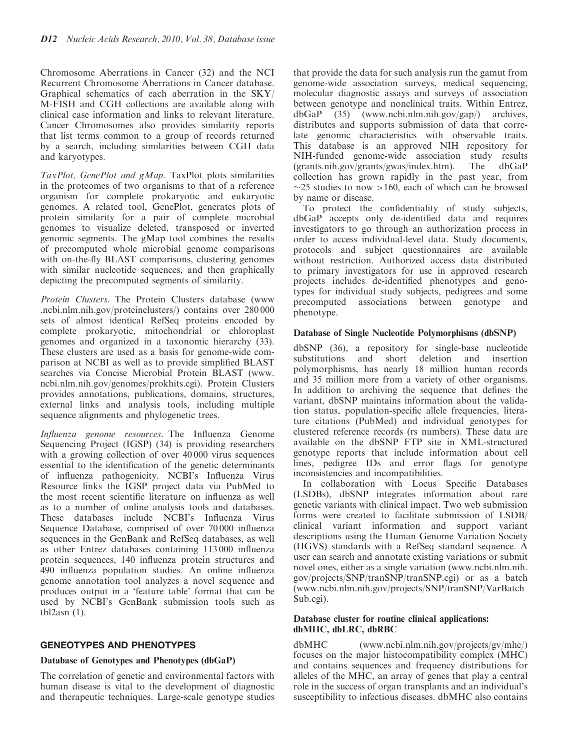Chromosome Aberrations in Cancer (32) and the NCI Recurrent Chromosome Aberrations in Cancer database. Graphical schematics of each aberration in the SKY/ M-FISH and CGH collections are available along with clinical case information and links to relevant literature. Cancer Chromosomes also provides similarity reports that list terms common to a group of records returned by a search, including similarities between CGH data and karyotypes.

TaxPlot, GenePlot and gMap. TaxPlot plots similarities in the proteomes of two organisms to that of a reference organism for complete prokaryotic and eukaryotic genomes. A related tool, GenePlot, generates plots of protein similarity for a pair of complete microbial genomes to visualize deleted, transposed or inverted genomic segments. The gMap tool combines the results of precomputed whole microbial genome comparisons with on-the-fly BLAST comparisons, clustering genomes with similar nucleotide sequences, and then graphically depicting the precomputed segments of similarity.

Protein Clusters. The Protein Clusters database (www .ncbi.nlm.nih.gov/proteinclusters/) contains over 280 000 sets of almost identical RefSeq proteins encoded by complete prokaryotic, mitochondrial or chloroplast genomes and organized in a taxonomic hierarchy (33). These clusters are used as a basis for genome-wide comparison at NCBI as well as to provide simplified BLAST searches via Concise Microbial Protein BLAST (www. ncbi.nlm.nih.gov/genomes/prokhits.cgi). Protein Clusters provides annotations, publications, domains, structures, external links and analysis tools, including multiple sequence alignments and phylogenetic trees.

Influenza genome resources. The Influenza Genome Sequencing Project (IGSP) (34) is providing researchers with a growing collection of over 40 000 virus sequences essential to the identification of the genetic determinants of influenza pathogenicity. NCBI's Influenza Virus Resource links the IGSP project data via PubMed to the most recent scientific literature on influenza as well as to a number of online analysis tools and databases. These databases include NCBI's Influenza Virus Sequence Database, comprised of over 70 000 influenza sequences in the GenBank and RefSeq databases, as well as other Entrez databases containing 113 000 influenza protein sequences, 140 influenza protein structures and 490 influenza population studies. An online influenza genome annotation tool analyzes a novel sequence and produces output in a 'feature table' format that can be used by NCBI's GenBank submission tools such as tbl $2$ asn  $(1)$ .

# GENEOTYPES AND PHENOTYPES

# Database of Genotypes and Phenotypes (dbGaP)

The correlation of genetic and environmental factors with human disease is vital to the development of diagnostic and therapeutic techniques. Large-scale genotype studies

that provide the data for such analysis run the gamut from genome-wide association surveys, medical sequencing, molecular diagnostic assays and surveys of association between genotype and nonclinical traits. Within Entrez, dbGaP (35) (www.ncbi.nlm.nih.gov/gap/) archives, distributes and supports submission of data that correlate genomic characteristics with observable traits. This database is an approved NIH repository for NIH-funded genome-wide association study results (grants.nih.gov/grants/gwas/index.htm). The dbGaP collection has grown rapidly in the past year, from  $\sim$ 25 studies to now >160, each of which can be browsed by name or disease.

To protect the confidentiality of study subjects, dbGaP accepts only de-identified data and requires investigators to go through an authorization process in order to access individual-level data. Study documents, protocols and subject questionnaires are available without restriction. Authorized access data distributed to primary investigators for use in approved research projects includes de-identified phenotypes and genotypes for individual study subjects, pedigrees and some precomputed associations between genotype and phenotype.

# Database of Single Nucleotide Polymorphisms (dbSNP)

dbSNP (36), a repository for single-base nucleotide substitutions and short deletion and insertion polymorphisms, has nearly 18 million human records and 35 million more from a variety of other organisms. In addition to archiving the sequence that defines the variant, dbSNP maintains information about the validation status, population-specific allele frequencies, literature citations (PubMed) and individual genotypes for clustered reference records (rs numbers). These data are available on the dbSNP FTP site in XML-structured genotype reports that include information about cell lines, pedigree IDs and error flags for genotype inconsistencies and incompatibilities.

In collaboration with Locus Specific Databases (LSDBs), dbSNP integrates information about rare genetic variants with clinical impact. Two web submission forms were created to facilitate submission of LSDB/ clinical variant information and support variant descriptions using the Human Genome Variation Society (HGVS) standards with a RefSeq standard sequence. A user can search and annotate existing variations or submit novel ones, either as a single variation (www.ncbi.nlm.nih. gov/projects/SNP/tranSNP/tranSNP.cgi) or as a batch (www.ncbi.nlm.nih.gov/projects/SNP/tranSNP/VarBatch Sub.cgi).

#### Database cluster for routine clinical applications: dbMHC, dbLRC, dbRBC

dbMHC (www.ncbi.nlm.nih.gov/projects/gv/mhc/) focuses on the major histocompatibility complex (MHC) and contains sequences and frequency distributions for alleles of the MHC, an array of genes that play a central role in the success of organ transplants and an individual's susceptibility to infectious diseases. dbMHC also contains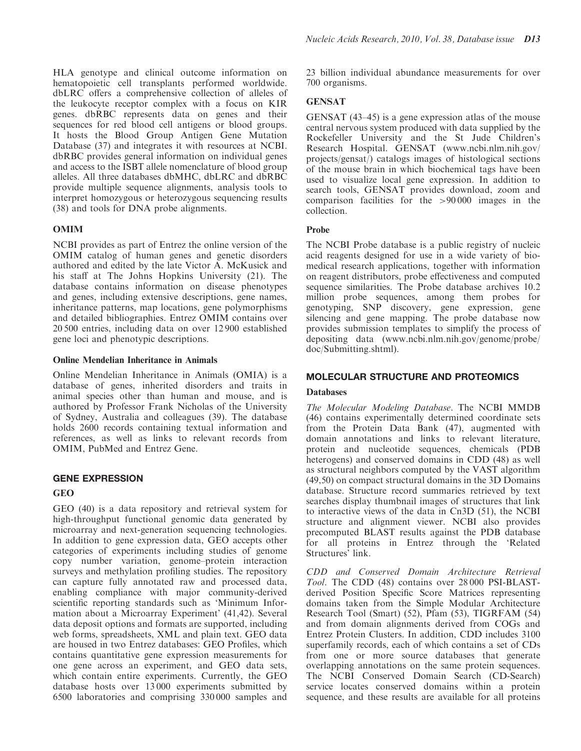HLA genotype and clinical outcome information on hematopoietic cell transplants performed worldwide. dbLRC offers a comprehensive collection of alleles of the leukocyte receptor complex with a focus on KIR genes. dbRBC represents data on genes and their sequences for red blood cell antigens or blood groups. It hosts the Blood Group Antigen Gene Mutation Database (37) and integrates it with resources at NCBI. dbRBC provides general information on individual genes and access to the ISBT allele nomenclature of blood group alleles. All three databases dbMHC, dbLRC and dbRBC provide multiple sequence alignments, analysis tools to interpret homozygous or heterozygous sequencing results (38) and tools for DNA probe alignments.

# OMIM

NCBI provides as part of Entrez the online version of the OMIM catalog of human genes and genetic disorders authored and edited by the late Victor A. McKusick and his staff at The Johns Hopkins University (21). The database contains information on disease phenotypes and genes, including extensive descriptions, gene names, inheritance patterns, map locations, gene polymorphisms and detailed bibliographies. Entrez OMIM contains over 20 500 entries, including data on over 12 900 established gene loci and phenotypic descriptions.

# Online Mendelian Inheritance in Animals

Online Mendelian Inheritance in Animals (OMIA) is a database of genes, inherited disorders and traits in animal species other than human and mouse, and is authored by Professor Frank Nicholas of the University of Sydney, Australia and colleagues (39). The database holds 2600 records containing textual information and references, as well as links to relevant records from OMIM, PubMed and Entrez Gene.

# GENE EXPRESSION

# GEO

GEO (40) is a data repository and retrieval system for high-throughput functional genomic data generated by microarray and next-generation sequencing technologies. In addition to gene expression data, GEO accepts other categories of experiments including studies of genome copy number variation, genome–protein interaction surveys and methylation profiling studies. The repository can capture fully annotated raw and processed data, enabling compliance with major community-derived scientific reporting standards such as 'Minimum Information about a Microarray Experiment' (41,42). Several data deposit options and formats are supported, including web forms, spreadsheets, XML and plain text. GEO data are housed in two Entrez databases: GEO Profiles, which contains quantitative gene expression measurements for one gene across an experiment, and GEO data sets, which contain entire experiments. Currently, the GEO database hosts over 13 000 experiments submitted by 6500 laboratories and comprising 330 000 samples and

23 billion individual abundance measurements for over 700 organisms.

# GENSAT

GENSAT (43–45) is a gene expression atlas of the mouse central nervous system produced with data supplied by the Rockefeller University and the St Jude Children's Research Hospital. GENSAT (www.ncbi.nlm.nih.gov/ projects/gensat/) catalogs images of histological sections of the mouse brain in which biochemical tags have been used to visualize local gene expression. In addition to search tools, GENSAT provides download, zoom and comparison facilities for the >90 000 images in the collection.

# Probe

The NCBI Probe database is a public registry of nucleic acid reagents designed for use in a wide variety of biomedical research applications, together with information on reagent distributors, probe effectiveness and computed sequence similarities. The Probe database archives 10.2 million probe sequences, among them probes for genotyping, SNP discovery, gene expression, gene silencing and gene mapping. The probe database now provides submission templates to simplify the process of depositing data (www.ncbi.nlm.nih.gov/genome/probe/ doc/Submitting.shtml).

# MOLECULAR STRUCTURE AND PROTEOMICS

# **Databases**

The Molecular Modeling Database. The NCBI MMDB (46) contains experimentally determined coordinate sets from the Protein Data Bank (47), augmented with domain annotations and links to relevant literature, protein and nucleotide sequences, chemicals (PDB heterogens) and conserved domains in CDD (48) as well as structural neighbors computed by the VAST algorithm (49,50) on compact structural domains in the 3D Domains database. Structure record summaries retrieved by text searches display thumbnail images of structures that link to interactive views of the data in Cn3D (51), the NCBI structure and alignment viewer. NCBI also provides precomputed BLAST results against the PDB database for all proteins in Entrez through the 'Related Structures' link.

CDD and Conserved Domain Architecture Retrieval Tool. The CDD (48) contains over 28 000 PSI-BLASTderived Position Specific Score Matrices representing domains taken from the Simple Modular Architecture Research Tool (Smart) (52), Pfam (53), TIGRFAM (54) and from domain alignments derived from COGs and Entrez Protein Clusters. In addition, CDD includes 3100 superfamily records, each of which contains a set of CDs from one or more source databases that generate overlapping annotations on the same protein sequences. The NCBI Conserved Domain Search (CD-Search) service locates conserved domains within a protein sequence, and these results are available for all proteins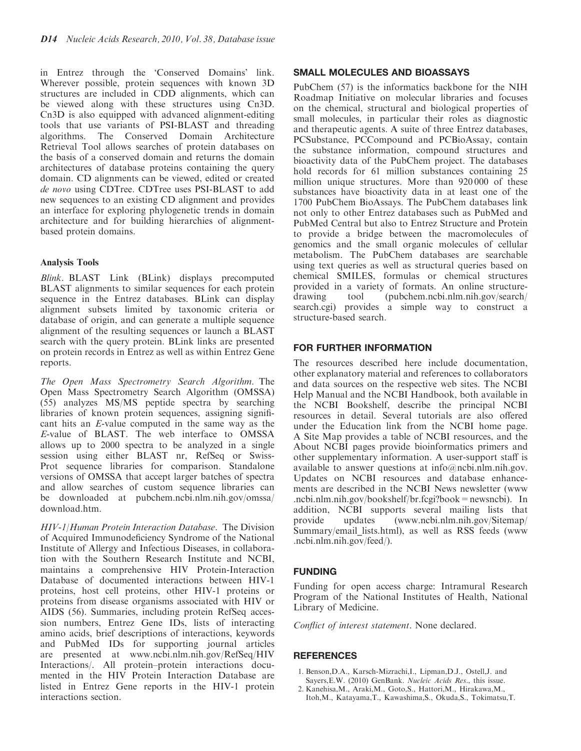in Entrez through the 'Conserved Domains' link. Wherever possible, protein sequences with known 3D structures are included in CDD alignments, which can be viewed along with these structures using Cn3D. Cn3D is also equipped with advanced alignment-editing tools that use variants of PSI-BLAST and threading algorithms. The Conserved Domain Architecture Retrieval Tool allows searches of protein databases on the basis of a conserved domain and returns the domain architectures of database proteins containing the query domain. CD alignments can be viewed, edited or created de novo using CDTree. CDTree uses PSI-BLAST to add new sequences to an existing CD alignment and provides an interface for exploring phylogenetic trends in domain architecture and for building hierarchies of alignmentbased protein domains.

#### Analysis Tools

Blink. BLAST Link (BLink) displays precomputed BLAST alignments to similar sequences for each protein sequence in the Entrez databases. BLink can display alignment subsets limited by taxonomic criteria or database of origin, and can generate a multiple sequence alignment of the resulting sequences or launch a BLAST search with the query protein. BLink links are presented on protein records in Entrez as well as within Entrez Gene reports.

The Open Mass Spectrometry Search Algorithm. The Open Mass Spectrometry Search Algorithm (OMSSA) (55) analyzes MS/MS peptide spectra by searching libraries of known protein sequences, assigning significant hits an E-value computed in the same way as the E-value of BLAST. The web interface to OMSSA allows up to 2000 spectra to be analyzed in a single session using either BLAST nr, RefSeq or Swiss-Prot sequence libraries for comparison. Standalone versions of OMSSA that accept larger batches of spectra and allow searches of custom sequence libraries can be downloaded at pubchem.ncbi.nlm.nih.gov/omssa/ download.htm.

HIV-1/Human Protein Interaction Database. The Division of Acquired Immunodeficiency Syndrome of the National Institute of Allergy and Infectious Diseases, in collaboration with the Southern Research Institute and NCBI, maintains a comprehensive HIV Protein-Interaction Database of documented interactions between HIV-1 proteins, host cell proteins, other HIV-1 proteins or proteins from disease organisms associated with HIV or AIDS (56). Summaries, including protein RefSeq accession numbers, Entrez Gene IDs, lists of interacting amino acids, brief descriptions of interactions, keywords and PubMed IDs for supporting journal articles are presented at www.ncbi.nlm.nih.gov/RefSeq/HIV Interactions/. All protein–protein interactions documented in the HIV Protein Interaction Database are listed in Entrez Gene reports in the HIV-1 protein interactions section.

# SMALL MOLECULES AND BIOASSAYS

PubChem (57) is the informatics backbone for the NIH Roadmap Initiative on molecular libraries and focuses on the chemical, structural and biological properties of small molecules, in particular their roles as diagnostic and therapeutic agents. A suite of three Entrez databases, PCSubstance, PCCompound and PCBioAssay, contain the substance information, compound structures and bioactivity data of the PubChem project. The databases hold records for 61 million substances containing 25 million unique structures. More than 920 000 of these substances have bioactivity data in at least one of the 1700 PubChem BioAssays. The PubChem databases link not only to other Entrez databases such as PubMed and PubMed Central but also to Entrez Structure and Protein to provide a bridge between the macromolecules of genomics and the small organic molecules of cellular metabolism. The PubChem databases are searchable using text queries as well as structural queries based on chemical SMILES, formulas or chemical structures provided in a variety of formats. An online structuredrawing tool (pubchem.ncbi.nlm.nih.gov/search/ search.cgi) provides a simple way to construct a structure-based search.

# FOR FURTHER INFORMATION

The resources described here include documentation, other explanatory material and references to collaborators and data sources on the respective web sites. The NCBI Help Manual and the NCBI Handbook, both available in the NCBI Bookshelf, describe the principal NCBI resources in detail. Several tutorials are also offered under the Education link from the NCBI home page. A Site Map provides a table of NCBI resources, and the About NCBI pages provide bioinformatics primers and other supplementary information. A user-support staff is available to answer questions at info@ncbi.nlm.nih.gov. Updates on NCBI resources and database enhancements are described in the NCBI News newsletter (www .ncbi.nlm.nih.gov/bookshelf/br.fcgi?book=newsncbi). In addition, NCBI supports several mailing lists that provide updates (www.ncbi.nlm.nih.gov/Sitemap/ Summary/email lists.html), as well as RSS feeds (www .ncbi.nlm.nih.gov/feed/).

#### FUNDING

Funding for open access charge: Intramural Research Program of the National Institutes of Health, National Library of Medicine.

Conflict of interest statement. None declared.

#### **REFERENCES**

- 1. Benson,D.A., Karsch-Mizrachi,I., Lipman,D.J., Ostell,J. and Sayers,E.W. (2010) GenBank. Nucleic Acids Res., this issue.
- 2. Kanehisa,M., Araki,M., Goto,S., Hattori,M., Hirakawa,M.,
- Itoh,M., Katayama,T., Kawashima,S., Okuda,S., Tokimatsu,T.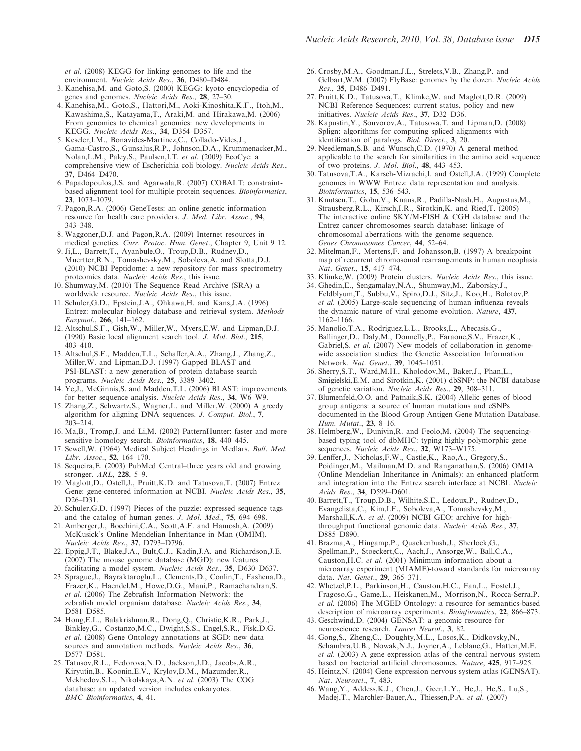et al. (2008) KEGG for linking genomes to life and the

- environment. Nucleic Acids Res., 36, D480–D484.
- 3. Kanehisa,M. and Goto,S. (2000) KEGG: kyoto encyclopedia of genes and genomes. Nucleic Acids Res., 28, 27–30.
- 4. Kanehisa,M., Goto,S., Hattori,M., Aoki-Kinoshita,K.F., Itoh,M., Kawashima,S., Katayama,T., Araki,M. and Hirakawa,M. (2006) From genomics to chemical genomics: new developments in KEGG. Nucleic Acids Res., 34, D354–D357.
- 5. Keseler,I.M., Bonavides-Martinez,C., Collado-Vides,J., Gama-Castro,S., Gunsalus,R.P., Johnson,D.A., Krummenacker,M., Nolan,L.M., Paley,S., Paulsen,I.T. et al. (2009) EcoCyc: a comprehensive view of Escherichia coli biology. Nucleic Acids Res., 37, D464–D470.
- 6. Papadopoulos,J.S. and Agarwala,R. (2007) COBALT: constraintbased alignment tool for multiple protein sequences. Bioinformatics, 23, 1073–1079.
- 7. Pagon,R.A. (2006) GeneTests: an online genetic information resource for health care providers. J. Med. Libr. Assoc., 94, 343–348.
- 8. Waggoner,D.J. and Pagon,R.A. (2009) Internet resources in medical genetics. Curr. Protoc. Hum. Genet., Chapter 9, Unit 9 12.
- 9. Ji,L., Barrett,T., Ayanbule,O., Troup,D.B., Rudnev,D., Muertter,R.N., Tomashevsky,M., Soboleva,A. and Slotta,D.J. (2010) NCBI Peptidome: a new repository for mass spectrometry proteomics data. Nucleic Acids Res., this issue.
- 10. Shumway,M. (2010) The Sequence Read Archive (SRA)–a worldwide resource. Nucleic Acids Res., this issue.
- 11. Schuler,G.D., Epstein,J.A., Ohkawa,H. and Kans,J.A. (1996) Entrez: molecular biology database and retrieval system. Methods Enzymol., 266, 141–162.
- 12. Altschul,S.F., Gish,W., Miller,W., Myers,E.W. and Lipman,D.J. (1990) Basic local alignment search tool. J. Mol. Biol., 215,  $403 - 410$
- 13. Altschul,S.F., Madden,T.L., Schaffer,A.A., Zhang,J., Zhang,Z., Miller,W. and Lipman,D.J. (1997) Gapped BLAST and PSI-BLAST: a new generation of protein database search programs. Nucleic Acids Res., 25, 3389–3402.
- 14. Ye,J., McGinnis,S. and Madden,T.L. (2006) BLAST: improvements for better sequence analysis. Nucleic Acids Res., 34, W6–W9.
- 15. Zhang,Z., Schwartz,S., Wagner,L. and Miller,W. (2000) A greedy algorithm for aligning DNA sequences. J. Comput. Biol., 7, 203–214.
- 16. Ma,B., Tromp,J. and Li,M. (2002) PatternHunter: faster and more sensitive homology search. Bioinformatics, 18, 440-445.
- 17. Sewell,W. (1964) Medical Subject Headings in Medlars. Bull. Med. Libr. Assoc., **52**, 164-170.
- 18. Sequeira,E. (2003) PubMed Central–three years old and growing stronger. ARL, 228, 5–9.
- 19. Maglott,D., Ostell,J., Pruitt,K.D. and Tatusova,T. (2007) Entrez Gene: gene-centered information at NCBI. Nucleic Acids Res., 35, D26–D31.
- 20. Schuler,G.D. (1997) Pieces of the puzzle: expressed sequence tags and the catalog of human genes. J. Mol. Med., 75, 694–698.
- 21. Amberger,J., Bocchini,C.A., Scott,A.F. and Hamosh,A. (2009) McKusick's Online Mendelian Inheritance in Man (OMIM). Nucleic Acids Res., 37, D793–D796.
- 22. Eppig,J.T., Blake,J.A., Bult,C.J., Kadin,J.A. and Richardson,J.E. (2007) The mouse genome database (MGD): new features facilitating a model system. Nucleic Acids Res., 35, D630–D637.
- 23. Sprague,J., Bayraktaroglu,L., Clements,D., Conlin,T., Fashena,D., Frazer,K., Haendel,M., Howe,D.G., Mani,P., Ramachandran,S. et al. (2006) The Zebrafish Information Network: the zebrafish model organism database. Nucleic Acids Res., 34, D581–D585.
- 24. Hong,E.L., Balakrishnan,R., Dong,Q., Christie,K.R., Park,J., Binkley,G., Costanzo,M.C., Dwight,S.S., Engel,S.R., Fisk,D.G. et al. (2008) Gene Ontology annotations at SGD: new data sources and annotation methods. Nucleic Acids Res., 36, D577–D581.
- 25. Tatusov,R.L., Fedorova,N.D., Jackson,J.D., Jacobs,A.R., Kiryutin,B., Koonin,E.V., Krylov,D.M., Mazumder,R., Mekhedov,S.L., Nikolskaya,A.N. et al. (2003) The COG database: an updated version includes eukaryotes. BMC Bioinformatics, 4, 41.
- 26. Crosby,M.A., Goodman,J.L., Strelets,V.B., Zhang,P. and Gelbart,W.M. (2007) FlyBase: genomes by the dozen. Nucleic Acids Res., 35, D486–D491.
- 27. Pruitt,K.D., Tatusova,T., Klimke,W. and Maglott,D.R. (2009) NCBI Reference Sequences: current status, policy and new initiatives. Nucleic Acids Res., 37, D32–D36.
- 28. Kapustin,Y., Souvorov,A., Tatusova,T. and Lipman,D. (2008) Splign: algorithms for computing spliced alignments with identification of paralogs. Biol. Direct., 3, 20.
- 29. Needleman,S.B. and Wunsch,C.D. (1970) A general method applicable to the search for similarities in the amino acid sequence of two proteins. J. Mol. Biol., 48, 443–453.
- 30. Tatusova,T.A., Karsch-Mizrachi,I. and Ostell,J.A. (1999) Complete genomes in WWW Entrez: data representation and analysis. Bioinformatics, 15, 536–543.
- 31. Knutsen,T., Gobu,V., Knaus,R., Padilla-Nash,H., Augustus,M., Strausberg,R.L., Kirsch,I.R., Sirotkin,K. and Ried,T. (2005) The interactive online SKY/M-FISH & CGH database and the Entrez cancer chromosomes search database: linkage of chromosomal aberrations with the genome sequence. Genes Chromosomes Cancer, 44, 52–64.
- 32. Mitelman,F., Mertens,F. and Johansson,B. (1997) A breakpoint map of recurrent chromosomal rearrangements in human neoplasia. Nat. Genet., 15, 417–474.
- 33. Klimke,W. (2009) Protein clusters. Nucleic Acids Res., this issue.
- 34. Ghedin,E., Sengamalay,N.A., Shumway,M., Zaborsky,J., Feldblyum,T., Subbu,V., Spiro,D.J., Sitz,J., Koo,H., Bolotov,P. et al. (2005) Large-scale sequencing of human influenza reveals the dynamic nature of viral genome evolution. Nature, 437, 1162–1166.
- 35. Manolio,T.A., Rodriguez,L.L., Brooks,L., Abecasis,G., Ballinger,D., Daly,M., Donnelly,P., Faraone,S.V., Frazer,K., Gabriel, S. et al. (2007) New models of collaboration in genomewide association studies: the Genetic Association Information Network. Nat. Genet., 39, 1045–1051.
- 36. Sherry,S.T., Ward,M.H., Kholodov,M., Baker,J., Phan,L., Smigielski,E.M. and Sirotkin,K. (2001) dbSNP: the NCBI database of genetic variation. Nucleic Acids Res., 29, 308–311.
- 37. Blumenfeld,O.O. and Patnaik,S.K. (2004) Allelic genes of blood group antigens: a source of human mutations and cSNPs documented in the Blood Group Antigen Gene Mutation Database. Hum. Mutat., 23, 8–16.
- 38. Helmberg,W., Dunivin,R. and Feolo,M. (2004) The sequencingbased typing tool of dbMHC: typing highly polymorphic gene sequences. Nucleic Acids Res., 32, W173–W175.
- 39. Lenffer,J., Nicholas,F.W., Castle,K., Rao,A., Gregory,S., Poidinger,M., Mailman,M.D. and Ranganathan,S. (2006) OMIA (Online Mendelian Inheritance in Animals): an enhanced platform and integration into the Entrez search interface at NCBI. Nucleic Acids Res., 34, D599–D601.
- 40. Barrett,T., Troup,D.B., Wilhite,S.E., Ledoux,P., Rudnev,D., Evangelista,C., Kim,I.F., Soboleva,A., Tomashevsky,M., Marshall,K.A. et al. (2009) NCBI GEO: archive for highthroughput functional genomic data. Nucleic Acids Res., 37, D885–D890.
- 41. Brazma,A., Hingamp,P., Quackenbush,J., Sherlock,G., Spellman,P., Stoeckert,C., Aach,J., Ansorge,W., Ball,C.A., Causton,H.C. et al. (2001) Minimum information about a microarray experiment (MIAME)-toward standards for microarray data. Nat. Genet., 29, 365–371.
- 42. Whetzel,P.L., Parkinson,H., Causton,H.C., Fan,L., Fostel,J., Fragoso,G., Game,L., Heiskanen,M., Morrison,N., Rocca-Serra,P. et al. (2006) The MGED Ontology: a resource for semantics-based description of microarray experiments. Bioinformatics, 22, 866-873.
- 43. Geschwind,D. (2004) GENSAT: a genomic resource for neuroscience research. Lancet Neurol., 3, 82.
- 44. Gong,S., Zheng,C., Doughty,M.L., Losos,K., Didkovsky,N., Schambra,U.B., Nowak,N.J., Joyner,A., Leblanc,G., Hatten,M.E. et al. (2003) A gene expression atlas of the central nervous system based on bacterial artificial chromosomes. Nature, 425, 917–925.
- 45. Heintz,N. (2004) Gene expression nervous system atlas (GENSAT). Nat. Neurosci., 7, 483.
- 46. Wang,Y., Addess,K.J., Chen,J., Geer,L.Y., He,J., He,S., Lu,S., Madej,T., Marchler-Bauer,A., Thiessen,P.A. et al. (2007)